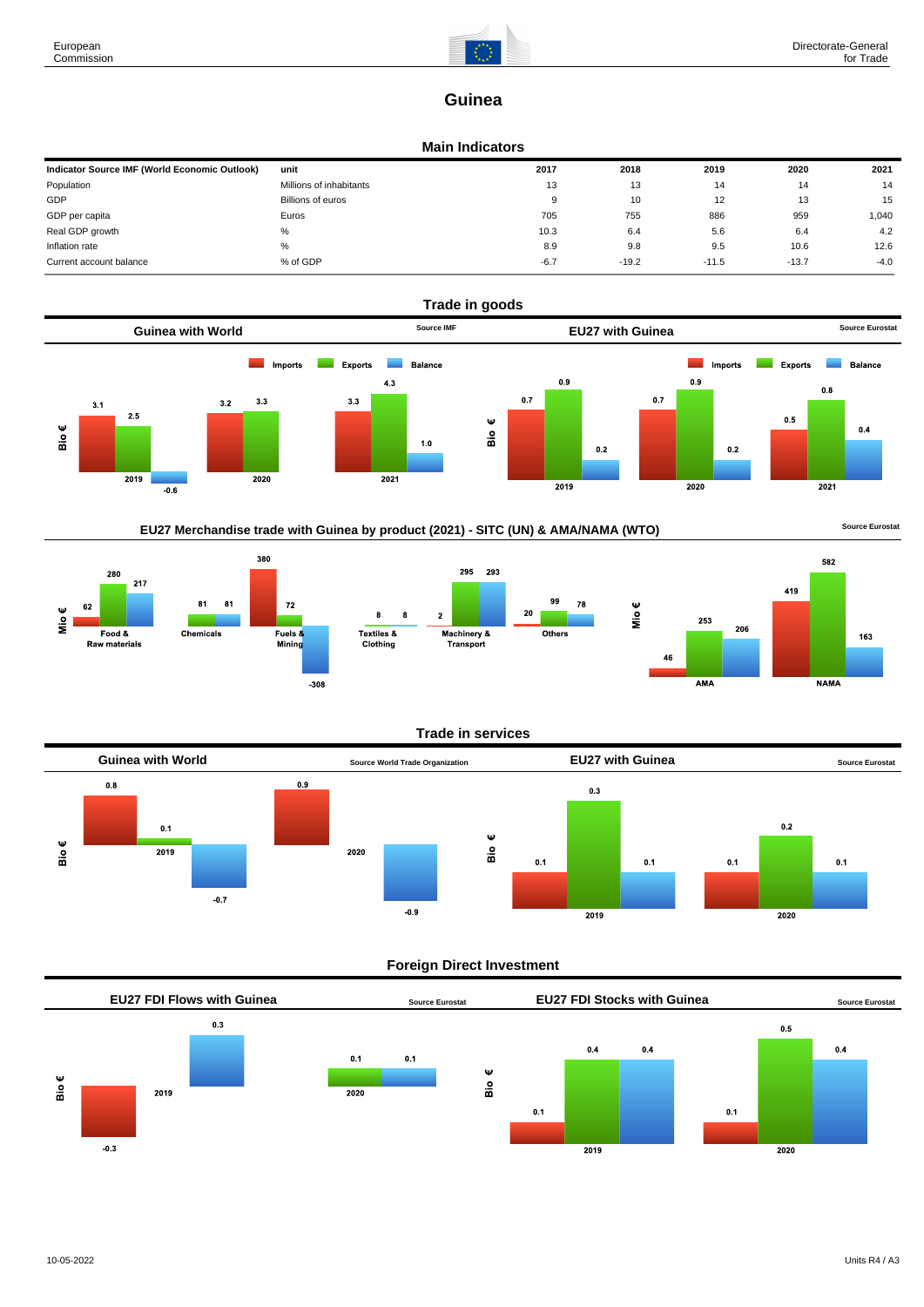

# **Guinea**

#### **Main Indicators**

| Indicator Source IMF (World Economic Outlook) | unit                    | 2017   | 2018    | 2019    | 2020    | 2021   |
|-----------------------------------------------|-------------------------|--------|---------|---------|---------|--------|
| Population                                    | Millions of inhabitants | 13     | 13      | 14      | 14      | 14     |
| GDP                                           | Billions of euros       | 9      | 10      | 12      | 13      | 15     |
| GDP per capita                                | Euros                   | 705    | 755     | 886     | 959     | 1.040  |
| Real GDP growth                               | %                       | 10.3   | 6.4     | 5.6     | 6.4     | 4.2    |
| Inflation rate                                | %                       | 8.9    | 9.8     | 9.5     | 10.6    | 12.6   |
| Current account balance                       | % of GDP                | $-6.7$ | $-19.2$ | $-11.5$ | $-13.7$ | $-4.0$ |



# EU27 Merchandise trade with Guinea by product (2021) - SITC (UN) & AMA/NAMA (WTO) **Source Eurostat**







#### **Trade in services**



### **Foreign Direct Investment**